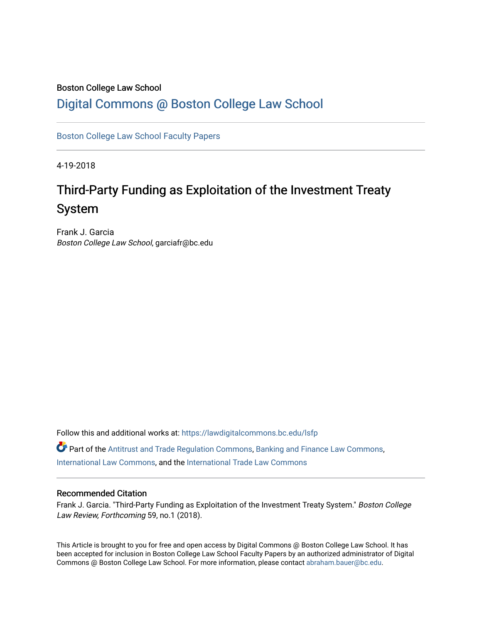# Boston College Law School

# [Digital Commons @ Boston College Law School](https://lawdigitalcommons.bc.edu/)

[Boston College Law School Faculty Papers](https://lawdigitalcommons.bc.edu/lsfp) 

4-19-2018

# Third-Party Funding as Exploitation of the Investment Treaty System

Frank J. Garcia Boston College Law School, garciafr@bc.edu

Follow this and additional works at: [https://lawdigitalcommons.bc.edu/lsfp](https://lawdigitalcommons.bc.edu/lsfp?utm_source=lawdigitalcommons.bc.edu%2Flsfp%2F1125&utm_medium=PDF&utm_campaign=PDFCoverPages) 

Part of the [Antitrust and Trade Regulation Commons,](http://network.bepress.com/hgg/discipline/911?utm_source=lawdigitalcommons.bc.edu%2Flsfp%2F1125&utm_medium=PDF&utm_campaign=PDFCoverPages) [Banking and Finance Law Commons,](http://network.bepress.com/hgg/discipline/833?utm_source=lawdigitalcommons.bc.edu%2Flsfp%2F1125&utm_medium=PDF&utm_campaign=PDFCoverPages) [International Law Commons](http://network.bepress.com/hgg/discipline/609?utm_source=lawdigitalcommons.bc.edu%2Flsfp%2F1125&utm_medium=PDF&utm_campaign=PDFCoverPages), and the [International Trade Law Commons](http://network.bepress.com/hgg/discipline/848?utm_source=lawdigitalcommons.bc.edu%2Flsfp%2F1125&utm_medium=PDF&utm_campaign=PDFCoverPages)

# Recommended Citation

Frank J. Garcia. "Third-Party Funding as Exploitation of the Investment Treaty System." Boston College Law Review, Forthcoming 59, no.1 (2018).

This Article is brought to you for free and open access by Digital Commons @ Boston College Law School. It has been accepted for inclusion in Boston College Law School Faculty Papers by an authorized administrator of Digital Commons @ Boston College Law School. For more information, please contact [abraham.bauer@bc.edu.](mailto:abraham.bauer@bc.edu)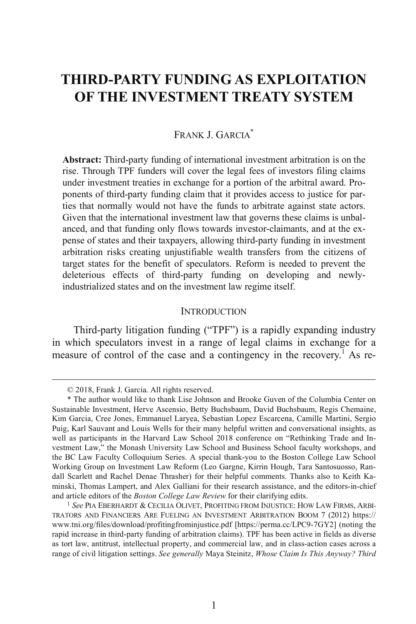# **THIRD-PARTY FUNDING AS EXPLOITATION OF THE INVESTMENT TREATY SYSTEM**

# FRANK J. GARCIA<sup>\*</sup>

**Abstract:** Third-party funding of international investment arbitration is on the rise. Through TPF funders will cover the legal fees of investors filing claims under investment treaties in exchange for a portion of the arbitral award. Proponents of third-party funding claim that it provides access to justice for parties that normally would not have the funds to arbitrate against state actors. Given that the international investment law that governs these claims is unbalanced, and that funding only flows towards investor-claimants, and at the expense of states and their taxpayers, allowing third-party funding in investment arbitration risks creating unjustifiable wealth transfers from the citizens of target states for the benefit of speculators. Reform is needed to prevent the deleterious effects of third-party funding on developing and newlyindustrialized states and on the investment law regime itself.

#### INTRODUCTION

Third-party litigation funding ("TPF") is a rapidly expanding industry in which speculators invest in a range of legal claims in exchange for a measure of control of the case and a contingency in the recovery.<sup>1</sup> As re-

 <sup>© 2018,</sup> Frank J. Garcia. All rights reserved.

<sup>\*</sup> The author would like to thank Lise Johnson and Brooke Guven of the Columbia Center on Sustainable Investment, Herve Ascensio, Betty Buchsbaum, David Buchsbaum, Regis Chemaine, Kim Garcia, Cree Jones, Emmanuel Laryea, Sebastian Lopez Escarcena, Camille Martini, Sergio Puig, Karl Sauvant and Louis Wells for their many helpful written and conversational insights, as well as participants in the Harvard Law School 2018 conference on "Rethinking Trade and Investment Law," the Monash University Law School and Business School faculty workshops, and the BC Law Faculty Colloquium Series. A special thank-you to the Boston College Law School Working Group on Investment Law Reform (Leo Gargne, Kirrin Hough, Tara Santosuosso, Randall Scarlett and Rachel Denae Thrasher) for their helpful comments. Thanks also to Keith Kaminski, Thomas Lampert, and Alex Galliani for their research assistance, and the editors-in-chief and article editors of the *Boston College Law Review* for their clarifying edits.

<sup>1</sup> *See* PIA EBERHARDT & CECILIA OLIVET, PROFITING FROM INJUSTICE: HOW LAW FIRMS, ARBI-TRATORS AND FINANCIERS ARE FUELING AN INVESTMENT ARBITRATION BOOM 7 (2012) https:// www.tni.org/files/download/profitingfrominjustice.pdf [https://perma.cc/LPC9-7GY2] (noting the rapid increase in third-party funding of arbitration claims). TPF has been active in fields as diverse as tort law, antitrust, intellectual property, and commercial law, and in class-action cases across a range of civil litigation settings. *See generally* Maya Steinitz, *Whose Claim Is This Anyway? Third*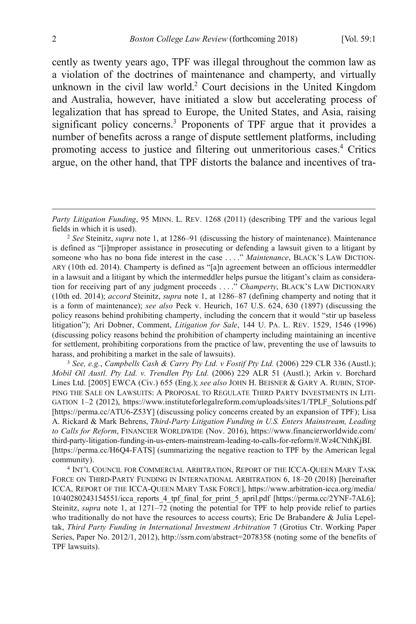cently as twenty years ago, TPF was illegal throughout the common law as a violation of the doctrines of maintenance and champerty, and virtually unknown in the civil law world.2 Court decisions in the United Kingdom and Australia, however, have initiated a slow but accelerating process of legalization that has spread to Europe, the United States, and Asia, raising significant policy concerns. <sup>3</sup> Proponents of TPF argue that it provides a number of benefits across a range of dispute settlement platforms, including promoting access to justice and filtering out unmeritorious cases.<sup>4</sup> Critics argue, on the other hand, that TPF distorts the balance and incentives of tra-

<sup>3</sup> *See, e.g.*, *Campbells Cash & Carry Pty Ltd. v Fostif Pty Ltd.* (2006) 229 CLR 336 (Austl.); *Mobil Oil Austl. Pty Ltd. v. Trendlen Pty Ltd.* (2006) 229 ALR 51 (Austl.); Arkin v. Borchard Lines Ltd. [2005] EWCA (Civ.) 655 (Eng.); *see also* JOHN H. BEISNER & GARY A. RUBIN, STOP-PING THE SALE ON LAWSUITS: A PROPOSAL TO REGULATE THIRD PARTY INVESTMENTS IN LITI-GATION 1-2 (2012), https://www.instituteforlegalreform.com/uploads/sites/1/TPLF\_Solutions.pdf [https://perma.cc/ATU6-Z53Y] (discussing policy concerns created by an expansion of TPF); Lisa A. Rickard & Mark Behrens, *Third-Party Litigation Funding in U.S. Enters Mainstream, Leading to Calls for Reform*, FINANCIER WORLDWIDE (Nov. 2016), https://www.financierworldwide.com/ third-party-litigation-funding-in-us-enters-mainstream-leading-to-calls-for-reform/#.Wz4CNthKjBI. [https://perma.cc/H6Q4-FATS] (summarizing the negative reaction to TPF by the American legal community).

<sup>4</sup> INT'L COUNCIL FOR COMMERCIAL ARBITRATION, REPORT OF THE ICCA-QUEEN MARY TASK FORCE ON THIRD-PARTY FUNDING IN INTERNATIONAL ARBITRATION 6, 18–20 (2018) [hereinafter ICCA, REPORT OF THE ICCA-QUEEN MARY TASK FORCE], https://www.arbitration-icca.org/media/ 10/40280243154551/icca\_reports\_4\_tpf\_final\_for\_print\_5\_april.pdf [https://perma.cc/2YNF-7AL6]; Steinitz, *supra* note 1, at 1271–72 (noting the potential for TPF to help provide relief to parties who traditionally do not have the resources to access courts); Eric De Brabandere  $\&$  Julia Lepeltak, *Third Party Funding in International Investment Arbitration* 7 (Grotius Ctr. Working Paper Series, Paper No. 2012/1, 2012), http://ssrn.com/abstract=2078358 (noting some of the benefits of TPF lawsuits).

 $\overline{a}$ 

*Party Litigation Funding*, 95 MINN. L. REV. 1268 (2011) (describing TPF and the various legal fields in which it is used).

<sup>2</sup> *See* Steinitz, *supra* note 1, at 1286–91 (discussing the history of maintenance). Maintenance is defined as "[i]mproper assistance in prosecuting or defending a lawsuit given to a litigant by someone who has no bona fide interest in the case . . . ." *Maintenance*, BLACK'S LAW DICTION-ARY (10th ed. 2014). Champerty is defined as "[a]n agreement between an officious intermeddler in a lawsuit and a litigant by which the intermeddler helps pursue the litigant's claim as consideration for receiving part of any judgment proceeds . . . ." *Champerty*, BLACK'S LAW DICTIONARY (10th ed. 2014); *accord* Steinitz, *supra* note 1, at 1286–87 (defining champerty and noting that it is a form of maintenance); *see also* Peck v. Heurich, 167 U.S. 624, 630 (1897) (discussing the policy reasons behind prohibiting champerty, including the concern that it would "stir up baseless litigation"); Ari Dobner, Comment, *Litigation for Sale*, 144 U. PA. L. REV. 1529, 1546 (1996) (discussing policy reasons behind the prohibition of champerty including maintaining an incentive for settlement, prohibiting corporations from the practice of law, preventing the use of lawsuits to harass, and prohibiting a market in the sale of lawsuits).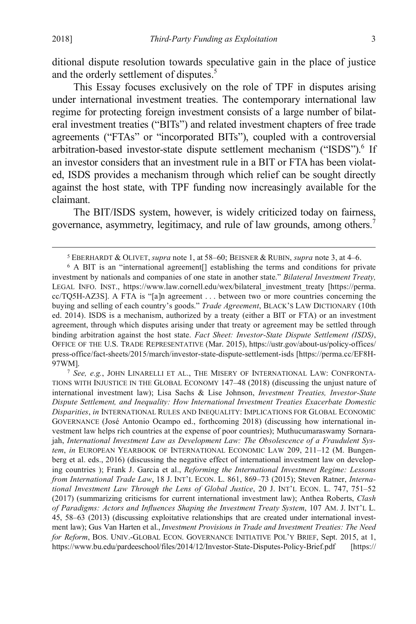ditional dispute resolution towards speculative gain in the place of justice and the orderly settlement of disputes.<sup>5</sup>

This Essay focuses exclusively on the role of TPF in disputes arising under international investment treaties. The contemporary international law regime for protecting foreign investment consists of a large number of bilateral investment treaties ("BITs") and related investment chapters of free trade agreements ("FTAs" or "incorporated BITs"), coupled with a controversial arbitration-based investor-state dispute settlement mechanism ("ISDS"). <sup>6</sup> If an investor considers that an investment rule in a BIT or FTA has been violated, ISDS provides a mechanism through which relief can be sought directly against the host state, with TPF funding now increasingly available for the claimant.

The BIT/ISDS system, however, is widely criticized today on fairness, governance, asymmetry, legitimacy, and rule of law grounds, among others.7

 <sup>5</sup> EBERHARDT & OLIVET, *supra* note 1, at 58–60; BEISNER & RUBIN, *supra* note 3, at 4–6.

<sup>&</sup>lt;sup>6</sup> A BIT is an "international agreement<sup>[]</sup> establishing the terms and conditions for private investment by nationals and companies of one state in another state." *Bilateral Investment Treaty,*  LEGAL INFO. INST., https://www.law.cornell.edu/wex/bilateral\_investment\_treaty [https://perma. cc/TQ5H-AZ3S]. A FTA is "[a]n agreement . . . between two or more countries concerning the buying and selling of each country's goods." *Trade Agreement*, BLACK'S LAW DICTIONARY (10th ed. 2014). ISDS is a mechanism, authorized by a treaty (either a BIT or FTA) or an investment agreement, through which disputes arising under that treaty or agreement may be settled through binding arbitration against the host state. *Fact Sheet: Investor-State Dispute Settlement (ISDS)*, OFFICE OF THE U.S. TRADE REPRESENTATIVE (Mar. 2015), https://ustr.gov/about-us/policy-offices/ press-office/fact-sheets/2015/march/investor-state-dispute-settlement-isds [https://perma.cc/EF8H-97WM].<br><sup>7</sup> *See, e.g.*, JOHN LINARELLI ET AL., THE MISERY OF INTERNATIONAL LAW: CONFRONTA-

TIONS WITH INJUSTICE IN THE GLOBAL ECONOMY 147–48 (2018) (discussing the unjust nature of international investment law); Lisa Sachs & Lise Johnson, *Investment Treaties, Investor-State Dispute Settlement, and Inequality: How International Investment Treaties Exacerbate Domestic Disparities*, *in* INTERNATIONAL RULES AND INEQUALITY: IMPLICATIONS FOR GLOBAL ECONOMIC GOVERNANCE (José Antonio Ocampo ed., forthcoming 2018) (discussing how international investment law helps rich countries at the expense of poor countries); Muthucumaraswamy Sornarajah, *International Investment Law as Development Law: The Obsolescence of a Fraudulent System*, *in* EUROPEAN YEARBOOK OF INTERNATIONAL ECONOMIC LAW 209, 211–12 (M. Bungenberg et al. eds., 2016) (discussing the negative effect of international investment law on developing countries ); Frank J. Garcia et al., *Reforming the International Investment Regime: Lessons from International Trade Law*, 18 J. INT'L ECON. L. 861, 869–73 (2015); Steven Ratner, *International Investment Law Through the Lens of Global Justice*, 20 J. INT'L ECON. L. 747, 751–52 (2017) (summarizing criticisms for current international investment law); Anthea Roberts, *Clash of Paradigms: Actors and Influences Shaping the Investment Treaty System*, 107 AM. J. INT'L L. 45, 58–63 (2013) (discussing exploitative relationships that are created under international investment law); Gus Van Harten et al., *Investment Provisions in Trade and Investment Treaties: The Need for Reform*, BOS. UNIV.-GLOBAL ECON. GOVERNANCE INITIATIVE POL'Y BRIEF, Sept. 2015, at 1, https://www.bu.edu/pardeeschool/files/2014/12/Investor-State-Disputes-Policy-Brief.pdf [https://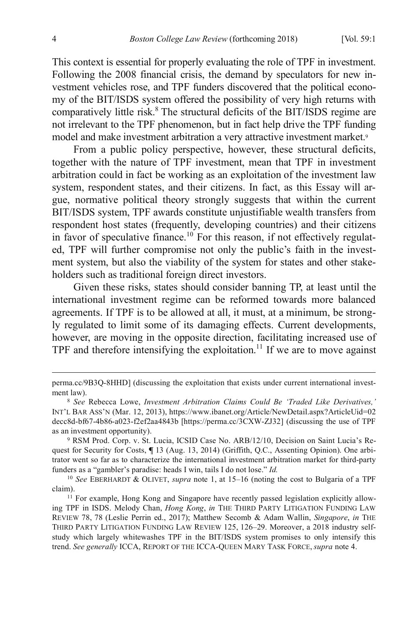This context is essential for properly evaluating the role of TPF in investment. Following the 2008 financial crisis, the demand by speculators for new investment vehicles rose, and TPF funders discovered that the political economy of the BIT/ISDS system offered the possibility of very high returns with comparatively little risk. <sup>8</sup> The structural deficits of the BIT/ISDS regime are not irrelevant to the TPF phenomenon, but in fact help drive the TPF funding model and make investment arbitration a very attractive investment market.<sup>9</sup>

From a public policy perspective, however, these structural deficits, together with the nature of TPF investment, mean that TPF in investment arbitration could in fact be working as an exploitation of the investment law system, respondent states, and their citizens. In fact, as this Essay will argue, normative political theory strongly suggests that within the current BIT/ISDS system, TPF awards constitute unjustifiable wealth transfers from respondent host states (frequently, developing countries) and their citizens in favor of speculative finance.<sup>10</sup> For this reason, if not effectively regulated, TPF will further compromise not only the public's faith in the investment system, but also the viability of the system for states and other stakeholders such as traditional foreign direct investors.

Given these risks, states should consider banning TP, at least until the international investment regime can be reformed towards more balanced agreements. If TPF is to be allowed at all, it must, at a minimum, be strongly regulated to limit some of its damaging effects. Current developments, however, are moving in the opposite direction, facilitating increased use of TPF and therefore intensifying the exploitation.<sup>11</sup> If we are to move against

perma.cc/9B3Q-8HHD] (discussing the exploitation that exists under current international investment law).

<sup>8</sup> *See* Rebecca Lowe, *Investment Arbitration Claims Could Be 'Traded Like Derivatives,'* INT'L BAR ASS'N (Mar. 12, 2013), https://www.ibanet.org/Article/NewDetail.aspx?ArticleUid=02 decc8d-bf67-4b86-a023-f2ef2aa4843b [https://perma.cc/3CXW-ZJ32] (discussing the use of TPF as an investment opportunity).

<sup>9</sup> RSM Prod. Corp. v. St. Lucia, ICSID Case No. ARB/12/10, Decision on Saint Lucia's Request for Security for Costs, **¶** 13 (Aug. 13, 2014) (Griffith, Q.C., Assenting Opinion). One arbitrator went so far as to characterize the international investment arbitration market for third-party funders as a "gambler's paradise: heads I win, tails I do not lose." *Id.*

<sup>10</sup> *See* EBERHARDT & OLIVET, *supra* note 1, at 15–16 (noting the cost to Bulgaria of a TPF claim).

<sup>&</sup>lt;sup>11</sup> For example, Hong Kong and Singapore have recently passed legislation explicitly allowing TPF in ISDS. Melody Chan, *Hong Kong*, *in* THE THIRD PARTY LITIGATION FUNDING LAW REVIEW 78, 78 (Leslie Perrin ed., 2017); Matthew Secomb & Adam Wallin, *Singapore*, *in* THE THIRD PARTY LITIGATION FUNDING LAW REVIEW 125, 126–29. Moreover, a 2018 industry selfstudy which largely whitewashes TPF in the BIT/ISDS system promises to only intensify this trend. *See generally* ICCA, REPORT OF THE ICCA-QUEEN MARY TASK FORCE, *supra* note 4.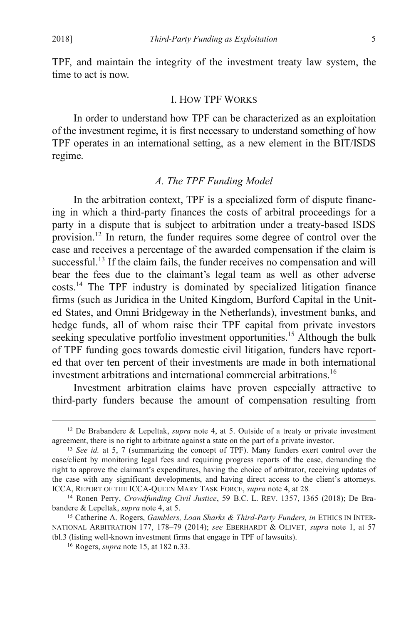TPF, and maintain the integrity of the investment treaty law system, the time to act is now.

#### I. HOW TPF WORKS

In order to understand how TPF can be characterized as an exploitation of the investment regime, it is first necessary to understand something of how TPF operates in an international setting, as a new element in the BIT/ISDS regime.

#### *A. The TPF Funding Model*

In the arbitration context, TPF is a specialized form of dispute financing in which a third-party finances the costs of arbitral proceedings for a party in a dispute that is subject to arbitration under a treaty-based ISDS provision.12 In return, the funder requires some degree of control over the case and receives a percentage of the awarded compensation if the claim is successful.<sup>13</sup> If the claim fails, the funder receives no compensation and will bear the fees due to the claimant's legal team as well as other adverse costs.14 The TPF industry is dominated by specialized litigation finance firms (such as Juridica in the United Kingdom, Burford Capital in the United States, and Omni Bridgeway in the Netherlands), investment banks, and hedge funds, all of whom raise their TPF capital from private investors seeking speculative portfolio investment opportunities.<sup>15</sup> Although the bulk of TPF funding goes towards domestic civil litigation, funders have reported that over ten percent of their investments are made in both international investment arbitrations and international commercial arbitrations.<sup>16</sup>

Investment arbitration claims have proven especially attractive to third-party funders because the amount of compensation resulting from

 <sup>12</sup> De Brabandere & Lepeltak, *supra* note 4, at 5. Outside of a treaty or private investment agreement, there is no right to arbitrate against a state on the part of a private investor.

<sup>13</sup> *See id.* at 5, 7 (summarizing the concept of TPF). Many funders exert control over the case/client by monitoring legal fees and requiring progress reports of the case, demanding the right to approve the claimant's expenditures, having the choice of arbitrator, receiving updates of the case with any significant developments, and having direct access to the client's attorneys. ICCA, REPORT OF THE ICCA-QUEEN MARY TASK FORCE, *supra* note 4, at 28*.*

<sup>14</sup> Ronen Perry, *Crowdfunding Civil Justice*, 59 B.C. L. REV. 1357, 1365 (2018); De Brabandere & Lepeltak, *supra* note 4, at 5.

<sup>15</sup> Catherine A. Rogers, *Gamblers, Loan Sharks & Third-Party Funders, in* ETHICS IN INTER-NATIONAL ARBITRATION 177, 178–79 (2014); *see* EBERHARDT & OLIVET, *supra* note 1, at 57 tbl.3 (listing well-known investment firms that engage in TPF of lawsuits).

<sup>16</sup> Rogers, *supra* note 15, at 182 n.33.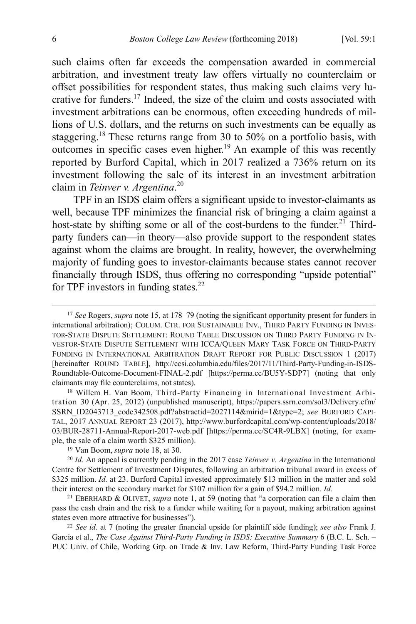such claims often far exceeds the compensation awarded in commercial arbitration, and investment treaty law offers virtually no counterclaim or offset possibilities for respondent states, thus making such claims very lucrative for funders.17 Indeed, the size of the claim and costs associated with investment arbitrations can be enormous, often exceeding hundreds of millions of U.S. dollars, and the returns on such investments can be equally as staggering.18 These returns range from 30 to 50% on a portfolio basis, with outcomes in specific cases even higher.<sup>19</sup> An example of this was recently reported by Burford Capital, which in 2017 realized a 736% return on its investment following the sale of its interest in an investment arbitration claim in *Teinver v. Argentina*. 20

TPF in an ISDS claim offers a significant upside to investor-claimants as well, because TPF minimizes the financial risk of bringing a claim against a host-state by shifting some or all of the cost-burdens to the funder.<sup>21</sup> Thirdparty funders can—in theory—also provide support to the respondent states against whom the claims are brought. In reality, however, the overwhelming majority of funding goes to investor-claimants because states cannot recover financially through ISDS, thus offering no corresponding "upside potential" for TPF investors in funding states. $22$ 

tration 30 (Apr. 25, 2012) (unpublished manuscript), https://papers.ssrn.com/sol3/Delivery.cfm/ SSRN\_ID2043713\_code342508.pdf?abstractid=2027114&mirid=1&type=2; *see* BURFORD CAPI-TAL, 2017 ANNUAL REPORT 23 (2017), http://www.burfordcapital.com/wp-content/uploads/2018/ 03/BUR-28711-Annual-Report-2017-web.pdf [https://perma.cc/SC4R-9LBX] (noting, for example, the sale of a claim worth \$325 million).

<sup>20</sup> *Id.* An appeal is currently pending in the 2017 case *Teinver v. Argentina* in the International Centre for Settlement of Investment Disputes, following an arbitration tribunal award in excess of \$325 million. *Id.* at 23. Burford Capital invested approximately \$13 million in the matter and sold their interest on the secondary market for \$107 million for a gain of \$94.2 million. *Id.*

<sup>21</sup> EBERHARD & OLIVET, *supra* note 1, at 59 (noting that "a corporation can file a claim then pass the cash drain and the risk to a funder while waiting for a payout, making arbitration against states even more attractive for businesses").

<sup>22</sup> *See id.* at 7 (noting the greater financial upside for plaintiff side funding); *see also* Frank J. Garcia et al., *The Case Against Third-Party Funding in ISDS: Executive Summary* 6 (B.C. L. Sch. – PUC Univ. of Chile, Working Grp. on Trade & Inv. Law Reform, Third-Party Funding Task Force

 <sup>17</sup> *See* Rogers, *supra* note 15, at 178–79 (noting the significant opportunity present for funders in international arbitration); COLUM. CTR. FOR SUSTAINABLE INV., THIRD PARTY FUNDING IN INVES-TOR-STATE DISPUTE SETTLEMENT: ROUND TABLE DISCUSSION ON THIRD PARTY FUNDING IN IN-VESTOR-STATE DISPUTE SETTLEMENT WITH ICCA/QUEEN MARY TASK FORCE ON THIRD-PARTY FUNDING IN INTERNATIONAL ARBITRATION DRAFT REPORT FOR PUBLIC DISCUSSION 1 (2017) [hereinafter ROUND TABLE], http://ccsi.columbia.edu/files/2017/11/Third-Party-Funding-in-ISDS-Roundtable-Outcome-Document-FINAL-2.pdf [https://perma.cc/BU5Y-SDP7] (noting that only claimants may file counterclaims, not states). 18 Willem H. Van Boom, Third-Party Financing in International Investment Arbi-

<sup>19</sup> Van Boom, *supra* note 18, at 30*.*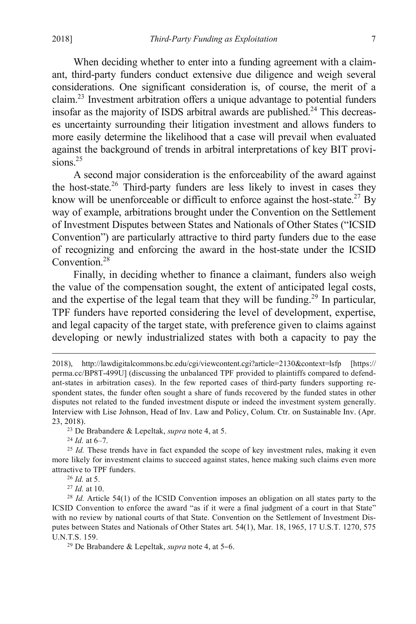When deciding whether to enter into a funding agreement with a claimant, third-party funders conduct extensive due diligence and weigh several considerations. One significant consideration is, of course, the merit of a claim. <sup>23</sup> Investment arbitration offers a unique advantage to potential funders insofar as the majority of ISDS arbitral awards are published. <sup>24</sup> This decreases uncertainty surrounding their litigation investment and allows funders to more easily determine the likelihood that a case will prevail when evaluated against the background of trends in arbitral interpretations of key BIT provisions $25$ 

A second major consideration is the enforceability of the award against the host-state.<sup>26</sup> Third-party funders are less likely to invest in cases they know will be unenforceable or difficult to enforce against the host-state.<sup>27</sup> By way of example, arbitrations brought under the Convention on the Settlement of Investment Disputes between States and Nationals of Other States ("ICSID Convention") are particularly attractive to third party funders due to the ease of recognizing and enforcing the award in the host-state under the ICSID Convention<sup>28</sup>

Finally, in deciding whether to finance a claimant, funders also weigh the value of the compensation sought, the extent of anticipated legal costs, and the expertise of the legal team that they will be funding.<sup>29</sup> In particular, TPF funders have reported considering the level of development, expertise, and legal capacity of the target state, with preference given to claims against developing or newly industrialized states with both a capacity to pay the

 <sup>2018),</sup> http://lawdigitalcommons.bc.edu/cgi/viewcontent.cgi?article=2130&context=lsfp [https:// perma.cc/BP8T-499U] (discussing the unbalanced TPF provided to plaintiffs compared to defendant-states in arbitration cases). In the few reported cases of third-party funders supporting respondent states, the funder often sought a share of funds recovered by the funded states in other disputes not related to the funded investment dispute or indeed the investment system generally. Interview with Lise Johnson, Head of Inv. Law and Policy, Colum. Ctr. on Sustainable Inv. (Apr. 23, 2018).

<sup>23</sup> De Brabandere & Lepeltak, *supra* note 4, at 5.

<sup>24</sup> *Id.* at 6–7.

<sup>&</sup>lt;sup>25</sup> *Id.* These trends have in fact expanded the scope of key investment rules, making it even more likely for investment claims to succeed against states, hence making such claims even more attractive to TPF funders.

<sup>26</sup> *Id.* at 5.

<sup>27</sup> *Id.* at 10.

<sup>&</sup>lt;sup>28</sup> *Id.* Article 54(1) of the ICSID Convention imposes an obligation on all states party to the ICSID Convention to enforce the award "as if it were a final judgment of a court in that State" with no review by national courts of that State. Convention on the Settlement of Investment Disputes between States and Nationals of Other States art. 54(1), Mar. 18, 1965, 17 U.S.T. 1270, 575 U.N.T.S. 159.

<sup>29</sup> De Brabandere & Lepeltak, *supra* note 4, at 5–6.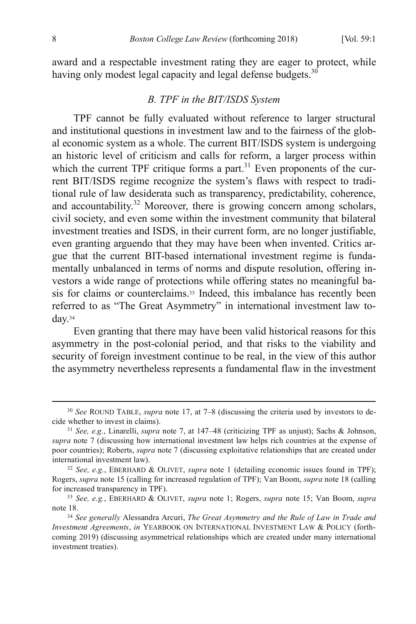award and a respectable investment rating they are eager to protect, while having only modest legal capacity and legal defense budgets.<sup>30</sup>

#### *B. TPF in the BIT/ISDS System*

TPF cannot be fully evaluated without reference to larger structural and institutional questions in investment law and to the fairness of the global economic system as a whole. The current BIT/ISDS system is undergoing an historic level of criticism and calls for reform, a larger process within which the current TPF critique forms a part.<sup>31</sup> Even proponents of the current BIT/ISDS regime recognize the system's flaws with respect to traditional rule of law desiderata such as transparency, predictability, coherence, and accountability. $32$  Moreover, there is growing concern among scholars, civil society, and even some within the investment community that bilateral investment treaties and ISDS, in their current form, are no longer justifiable, even granting arguendo that they may have been when invented. Critics argue that the current BIT-based international investment regime is fundamentally unbalanced in terms of norms and dispute resolution, offering investors a wide range of protections while offering states no meaningful basis for claims or counterclaims.<sup>33</sup> Indeed, this imbalance has recently been referred to as "The Great Asymmetry" in international investment law today.34

Even granting that there may have been valid historical reasons for this asymmetry in the post-colonial period, and that risks to the viability and security of foreign investment continue to be real, in the view of this author the asymmetry nevertheless represents a fundamental flaw in the investment

 <sup>30</sup> *See* ROUND TABLE, *supra* note 17, at 7–8 (discussing the criteria used by investors to decide whether to invest in claims).

<sup>31</sup> *See, e.g.*, Linarelli, *supra* note 7, at 147–48 (criticizing TPF as unjust); Sachs & Johnson, *supra* note 7 (discussing how international investment law helps rich countries at the expense of poor countries); Roberts, *supra* note 7 (discussing exploitative relationships that are created under international investment law).

<sup>32</sup> *See, e.g.*, EBERHARD & OLIVET, *supra* note 1 (detailing economic issues found in TPF); Rogers, *supra* note 15 (calling for increased regulation of TPF); Van Boom, *supra* note 18 (calling for increased transparency in TPF).

<sup>33</sup> *See, e.g.*, EBERHARD & OLIVET, *supra* note 1; Rogers, *supra* note 15; Van Boom, *supra* note 18.

<sup>34</sup> *See generally* Alessandra Arcuri, *The Great Asymmetry and the Rule of Law in Trade and Investment Agreements*, *in* YEARBOOK ON INTERNATIONAL INVESTMENT LAW & POLICY (forthcoming 2019) (discussing asymmetrical relationships which are created under many international investment treaties).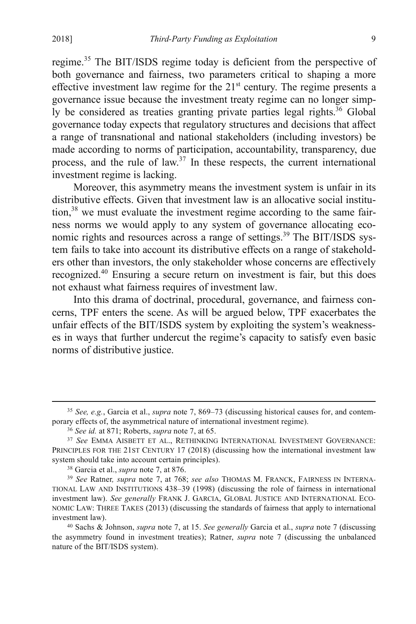regime.<sup>35</sup> The BIT/ISDS regime today is deficient from the perspective of both governance and fairness, two parameters critical to shaping a more effective investment law regime for the  $21<sup>st</sup>$  century. The regime presents a governance issue because the investment treaty regime can no longer simply be considered as treaties granting private parties legal rights.<sup>36</sup> Global governance today expects that regulatory structures and decisions that affect a range of transnational and national stakeholders (including investors) be made according to norms of participation, accountability, transparency, due process, and the rule of law. $37$  In these respects, the current international investment regime is lacking.

Moreover, this asymmetry means the investment system is unfair in its distributive effects. Given that investment law is an allocative social institution,<sup>38</sup> we must evaluate the investment regime according to the same fairness norms we would apply to any system of governance allocating economic rights and resources across a range of settings.<sup>39</sup> The BIT/ISDS system fails to take into account its distributive effects on a range of stakeholders other than investors, the only stakeholder whose concerns are effectively recognized.<sup>40</sup> Ensuring a secure return on investment is fair, but this does not exhaust what fairness requires of investment law.

Into this drama of doctrinal, procedural, governance, and fairness concerns, TPF enters the scene. As will be argued below, TPF exacerbates the unfair effects of the BIT/ISDS system by exploiting the system's weaknesses in ways that further undercut the regime's capacity to satisfy even basic norms of distributive justice.

 <sup>35</sup> *See, e.g.*, Garcia et al., *supra* note 7, 869–73 (discussing historical causes for, and contemporary effects of, the asymmetrical nature of international investment regime).

<sup>36</sup> *See id.* at 871; Roberts, *supra* note 7, at 65.

<sup>37</sup> *See* EMMA AISBETT ET AL., RETHINKING INTERNATIONAL INVESTMENT GOVERNANCE: PRINCIPLES FOR THE 21ST CENTURY 17 (2018) (discussing how the international investment law system should take into account certain principles).

<sup>38</sup> Garcia et al., *supra* note 7, at 876.

<sup>39</sup> *See* Ratner*, supra* note 7, at 768; *see also* THOMAS M. FRANCK, FAIRNESS IN INTERNA-TIONAL LAW AND INSTITUTIONS 438–39 (1998) (discussing the role of fairness in international investment law). *See generally* FRANK J. GARCIA, GLOBAL JUSTICE AND INTERNATIONAL ECO-NOMIC LAW: THREE TAKES (2013) (discussing the standards of fairness that apply to international investment law).

<sup>40</sup> Sachs & Johnson, *supra* note 7, at 15. *See generally* Garcia et al., *supra* note 7 (discussing the asymmetry found in investment treaties); Ratner, *supra* note 7 (discussing the unbalanced nature of the BIT/ISDS system).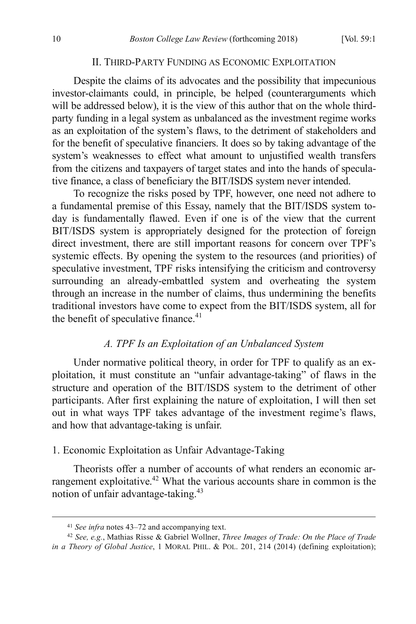# II. THIRD-PARTY FUNDING AS ECONOMIC EXPLOITATION

Despite the claims of its advocates and the possibility that impecunious investor-claimants could, in principle, be helped (counterarguments which will be addressed below), it is the view of this author that on the whole thirdparty funding in a legal system as unbalanced as the investment regime works as an exploitation of the system's flaws, to the detriment of stakeholders and for the benefit of speculative financiers. It does so by taking advantage of the system's weaknesses to effect what amount to unjustified wealth transfers from the citizens and taxpayers of target states and into the hands of speculative finance, a class of beneficiary the BIT/ISDS system never intended.

To recognize the risks posed by TPF, however, one need not adhere to a fundamental premise of this Essay, namely that the BIT/ISDS system today is fundamentally flawed. Even if one is of the view that the current BIT/ISDS system is appropriately designed for the protection of foreign direct investment, there are still important reasons for concern over TPF's systemic effects. By opening the system to the resources (and priorities) of speculative investment, TPF risks intensifying the criticism and controversy surrounding an already-embattled system and overheating the system through an increase in the number of claims, thus undermining the benefits traditional investors have come to expect from the BIT/ISDS system, all for the benefit of speculative finance.<sup>41</sup>

#### *A. TPF Is an Exploitation of an Unbalanced System*

Under normative political theory, in order for TPF to qualify as an exploitation, it must constitute an "unfair advantage-taking" of flaws in the structure and operation of the BIT/ISDS system to the detriment of other participants. After first explaining the nature of exploitation, I will then set out in what ways TPF takes advantage of the investment regime's flaws, and how that advantage-taking is unfair.

#### 1. Economic Exploitation as Unfair Advantage-Taking

Theorists offer a number of accounts of what renders an economic arrangement exploitative.<sup>42</sup> What the various accounts share in common is the notion of unfair advantage-taking.43

 <sup>41</sup> *See infra* notes 43–72 and accompanying text.

<sup>42</sup> *See, e.g.*, Mathias Risse & Gabriel Wollner, *Three Images of Trade: On the Place of Trade in a Theory of Global Justice*, 1 MORAL PHIL. & POL. 201, 214 (2014) (defining exploitation);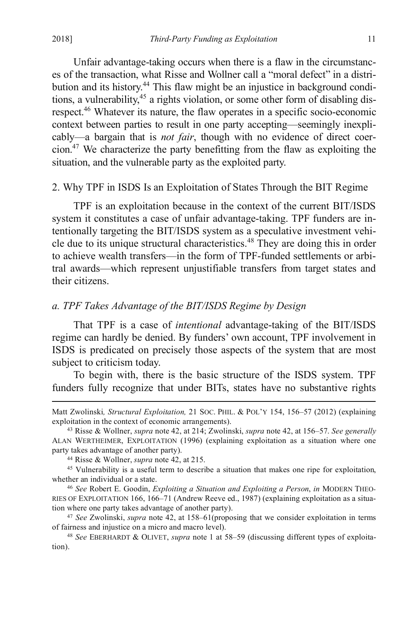Unfair advantage-taking occurs when there is a flaw in the circumstances of the transaction, what Risse and Wollner call a "moral defect" in a distribution and its history.44 This flaw might be an injustice in background conditions, a vulnerability, $45$  a rights violation, or some other form of disabling disrespect.46 Whatever its nature, the flaw operates in a specific socio-economic context between parties to result in one party accepting—seemingly inexplicably—a bargain that is *not fair*, though with no evidence of direct coercion.<sup>47</sup> We characterize the party benefitting from the flaw as exploiting the situation, and the vulnerable party as the exploited party.

#### 2. Why TPF in ISDS Is an Exploitation of States Through the BIT Regime

TPF is an exploitation because in the context of the current BIT/ISDS system it constitutes a case of unfair advantage-taking. TPF funders are intentionally targeting the BIT/ISDS system as a speculative investment vehicle due to its unique structural characteristics. <sup>48</sup> They are doing this in order to achieve wealth transfers—in the form of TPF-funded settlements or arbitral awards—which represent unjustifiable transfers from target states and their citizens.

## *a. TPF Takes Advantage of the BIT/ISDS Regime by Design*

That TPF is a case of *intentional* advantage-taking of the BIT/ISDS regime can hardly be denied. By funders' own account, TPF involvement in ISDS is predicated on precisely those aspects of the system that are most subject to criticism today.

To begin with, there is the basic structure of the ISDS system. TPF funders fully recognize that under BITs, states have no substantive rights

Matt Zwolinski*, Structural Exploitation,* 21 SOC. PHIL. & POL'Y 154, 156–57 (2012) (explaining exploitation in the context of economic arrangements).

<sup>43</sup> Risse & Wollner, *supra* note 42, at 214; Zwolinski, *supra* note 42, at 156–57. *See generally*  ALAN WERTHEIMER, EXPLOITATION (1996) (explaining exploitation as a situation where one party takes advantage of another party).

<sup>44</sup> Risse & Wollner, *supra* note 42, at 215.

<sup>45</sup> Vulnerability is a useful term to describe a situation that makes one ripe for exploitation, whether an individual or a state.

<sup>46</sup> *See* Robert E. Goodin, *Exploiting a Situation and Exploiting a Person*, *in* MODERN THEO-RIES OF EXPLOITATION 166, 166–71 (Andrew Reeve ed., 1987) (explaining exploitation as a situation where one party takes advantage of another party).

<sup>47</sup> *See* Zwolinski, *supra* note 42, at 158–61(proposing that we consider exploitation in terms of fairness and injustice on a micro and macro level).

<sup>48</sup> *See* EBERHARDT & OLIVET, *supra* note 1 at 58–59 (discussing different types of exploitation).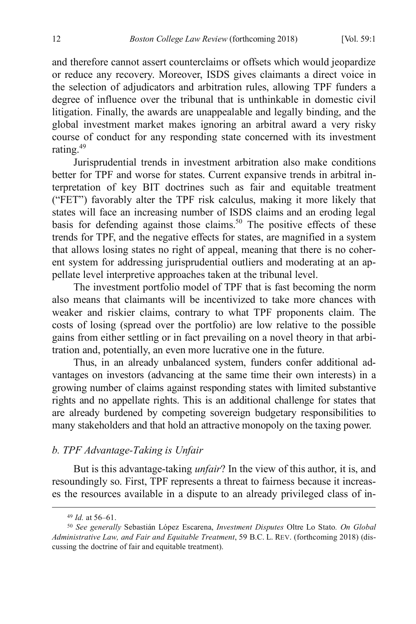and therefore cannot assert counterclaims or offsets which would jeopardize or reduce any recovery. Moreover, ISDS gives claimants a direct voice in the selection of adjudicators and arbitration rules, allowing TPF funders a degree of influence over the tribunal that is unthinkable in domestic civil litigation. Finally, the awards are unappealable and legally binding, and the global investment market makes ignoring an arbitral award a very risky course of conduct for any responding state concerned with its investment rating.<sup>49</sup>

Jurisprudential trends in investment arbitration also make conditions better for TPF and worse for states. Current expansive trends in arbitral interpretation of key BIT doctrines such as fair and equitable treatment ("FET") favorably alter the TPF risk calculus, making it more likely that states will face an increasing number of ISDS claims and an eroding legal basis for defending against those claims. <sup>50</sup> The positive effects of these trends for TPF, and the negative effects for states, are magnified in a system that allows losing states no right of appeal, meaning that there is no coherent system for addressing jurisprudential outliers and moderating at an appellate level interpretive approaches taken at the tribunal level.

The investment portfolio model of TPF that is fast becoming the norm also means that claimants will be incentivized to take more chances with weaker and riskier claims, contrary to what TPF proponents claim. The costs of losing (spread over the portfolio) are low relative to the possible gains from either settling or in fact prevailing on a novel theory in that arbitration and, potentially, an even more lucrative one in the future.

Thus, in an already unbalanced system, funders confer additional advantages on investors (advancing at the same time their own interests) in a growing number of claims against responding states with limited substantive rights and no appellate rights. This is an additional challenge for states that are already burdened by competing sovereign budgetary responsibilities to many stakeholders and that hold an attractive monopoly on the taxing power.

#### *b. TPF Advantage-Taking is Unfair*

But is this advantage-taking *unfair*? In the view of this author, it is, and resoundingly so. First, TPF represents a threat to fairness because it increases the resources available in a dispute to an already privileged class of in-

 <sup>49</sup> *Id.* at 56–61.

<sup>50</sup> *See generally* Sebastián López Escarena, *Investment Disputes* Oltre Lo Stato*. On Global Administrative Law, and Fair and Equitable Treatment*, 59 B.C. L. REV. (forthcoming 2018) (discussing the doctrine of fair and equitable treatment).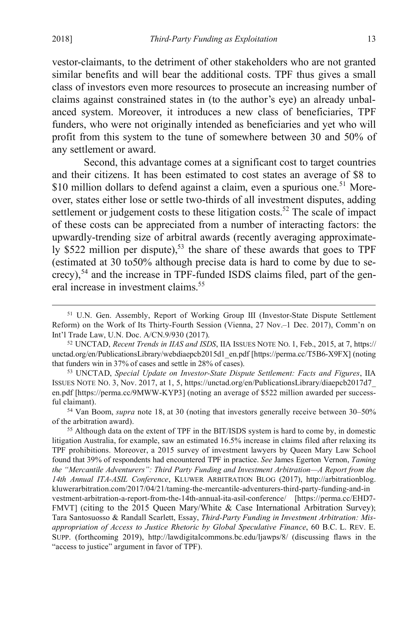vestor-claimants, to the detriment of other stakeholders who are not granted similar benefits and will bear the additional costs. TPF thus gives a small class of investors even more resources to prosecute an increasing number of claims against constrained states in (to the author's eye) an already unbalanced system. Moreover, it introduces a new class of beneficiaries, TPF funders, who were not originally intended as beneficiaries and yet who will profit from this system to the tune of somewhere between 30 and 50% of any settlement or award.

Second, this advantage comes at a significant cost to target countries and their citizens. It has been estimated to cost states an average of \$8 to \$10 million dollars to defend against a claim, even a spurious one.<sup>51</sup> Moreover, states either lose or settle two-thirds of all investment disputes, adding settlement or judgement costs to these litigation costs.<sup>52</sup> The scale of impact of these costs can be appreciated from a number of interacting factors: the upwardly-trending size of arbitral awards (recently averaging approximately \$522 million per dispute),<sup>53</sup> the share of these awards that goes to TPF (estimated at 30 to50% although precise data is hard to come by due to se $crecy$ ),  $54$  and the increase in TPF-funded ISDS claims filed, part of the general increase in investment claims. 55

 <sup>51</sup> U.N. Gen. Assembly, Report of Working Group III (Investor-State Dispute Settlement Reform) on the Work of Its Thirty-Fourth Session (Vienna, 27 Nov.–1 Dec. 2017), Comm'n on Int'l Trade Law, U.N. Doc. A/CN.9/930 (2017).

<sup>52</sup> UNCTAD, *Recent Trends in IIAS and ISDS*, IIA ISSUES NOTE NO. 1, Feb., 2015, at 7, https:// unctad.org/en/PublicationsLibrary/webdiaepcb2015d1\_en.pdf [https://perma.cc/T5B6-X9FX] (noting that funders win in 37% of cases and settle in 28% of cases).

<sup>53</sup> UNCTAD, *Special Update on Investor-State Dispute Settlement: Facts and Figures*, IIA ISSUES NOTE NO. 3, Nov. 2017, at 1, 5, https://unctad.org/en/PublicationsLibrary/diaepcb2017d7\_ en.pdf [https://perma.cc/9MWW-KYP3] (noting an average of \$522 million awarded per successful claimant). 54 Van Boom, *supra* note 18, at 30 (noting that investors generally receive between 30–50%

of the arbitration award).

<sup>55</sup> Although data on the extent of TPF in the BIT/ISDS system is hard to come by, in domestic litigation Australia, for example, saw an estimated 16.5% increase in claims filed after relaxing its TPF prohibitions. Moreover, a 2015 survey of investment lawyers by Queen Mary Law School found that 39% of respondents had encountered TPF in practice. *See* James Egerton Vernon, *Taming the "Mercantile Adventurers": Third Party Funding and Investment Arbitration—A Report from the 14th Annual ITA-ASIL Conference*, KLUWER ARBITRATION BLOG (2017), http://arbitrationblog. kluwerarbitration.com/2017/04/21/taming-the-mercantile-adventurers-third-party-funding-and-in vestment-arbitration-a-report-from-the-14th-annual-ita-asil-conference/ [https://perma.cc/EHD7- FMVT] (citing to the 2015 Queen Mary/White & Case International Arbitration Survey); Tara Santosuosso & Randall Scarlett, Essay, *Third-Party Funding in Investment Arbitration: Misappropriation of Access to Justice Rhetoric by Global Speculative Finance*, 60 B.C. L. REV. E. SUPP. (forthcoming 2019), http://lawdigitalcommons.bc.edu/ljawps/8/ (discussing flaws in the "access to justice" argument in favor of TPF).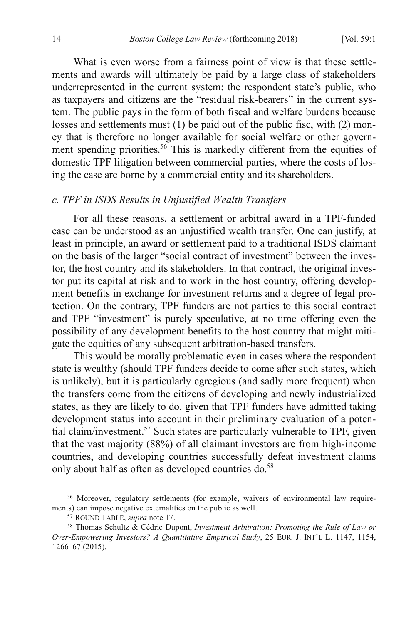What is even worse from a fairness point of view is that these settlements and awards will ultimately be paid by a large class of stakeholders underrepresented in the current system: the respondent state's public, who as taxpayers and citizens are the "residual risk-bearers" in the current system. The public pays in the form of both fiscal and welfare burdens because losses and settlements must (1) be paid out of the public fisc, with (2) money that is therefore no longer available for social welfare or other government spending priorities.<sup>56</sup> This is markedly different from the equities of domestic TPF litigation between commercial parties, where the costs of losing the case are borne by a commercial entity and its shareholders.

# *c. TPF in ISDS Results in Unjustified Wealth Transfers*

For all these reasons, a settlement or arbitral award in a TPF-funded case can be understood as an unjustified wealth transfer. One can justify, at least in principle, an award or settlement paid to a traditional ISDS claimant on the basis of the larger "social contract of investment" between the investor, the host country and its stakeholders. In that contract, the original investor put its capital at risk and to work in the host country, offering development benefits in exchange for investment returns and a degree of legal protection. On the contrary, TPF funders are not parties to this social contract and TPF "investment" is purely speculative, at no time offering even the possibility of any development benefits to the host country that might mitigate the equities of any subsequent arbitration-based transfers.

This would be morally problematic even in cases where the respondent state is wealthy (should TPF funders decide to come after such states, which is unlikely), but it is particularly egregious (and sadly more frequent) when the transfers come from the citizens of developing and newly industrialized states, as they are likely to do, given that TPF funders have admitted taking development status into account in their preliminary evaluation of a potential claim/investment.57 Such states are particularly vulnerable to TPF, given that the vast majority (88%) of all claimant investors are from high-income countries, and developing countries successfully defeat investment claims only about half as often as developed countries do. 58

 <sup>56</sup> Moreover, regulatory settlements (for example, waivers of environmental law requirements) can impose negative externalities on the public as well.

<sup>57</sup> ROUND TABLE, *supra* note 17.

<sup>58</sup> Thomas Schultz & Cédric Dupont, *Investment Arbitration: Promoting the Rule of Law or Over-Empowering Investors? A Quantitative Empirical Study*, 25 EUR. J. INT'L L. 1147, 1154, 1266–67 (2015).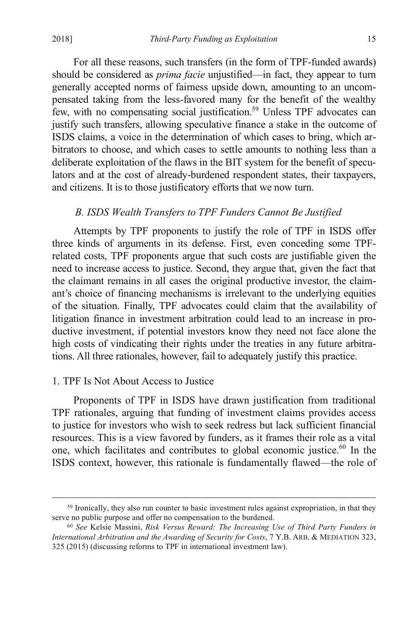For all these reasons, such transfers (in the form of TPF-funded awards) should be considered as *prima facie* unjustified—in fact, they appear to turn generally accepted norms of fairness upside down, amounting to an uncompensated taking from the less-favored many for the benefit of the wealthy few, with no compensating social justification.<sup>59</sup> Unless TPF advocates can justify such transfers, allowing speculative finance a stake in the outcome of ISDS claims, a voice in the determination of which cases to bring, which arbitrators to choose, and which cases to settle amounts to nothing less than a deliberate exploitation of the flaws in the BIT system for the benefit of speculators and at the cost of already-burdened respondent states, their taxpayers, and citizens. It is to those justificatory efforts that we now turn.

## *B. ISDS Wealth Transfers to TPF Funders Cannot Be Justified*

Attempts by TPF proponents to justify the role of TPF in ISDS offer three kinds of arguments in its defense. First, even conceding some TPFrelated costs, TPF proponents argue that such costs are justifiable given the need to increase access to justice. Second, they argue that, given the fact that the claimant remains in all cases the original productive investor, the claimant's choice of financing mechanisms is irrelevant to the underlying equities of the situation. Finally, TPF advocates could claim that the availability of litigation finance in investment arbitration could lead to an increase in productive investment, if potential investors know they need not face alone the high costs of vindicating their rights under the treaties in any future arbitrations. All three rationales, however, fail to adequately justify this practice.

# 1. TPF Is Not About Access to Justice

Proponents of TPF in ISDS have drawn justification from traditional TPF rationales, arguing that funding of investment claims provides access to justice for investors who wish to seek redress but lack sufficient financial resources. This is a view favored by funders, as it frames their role as a vital one, which facilitates and contributes to global economic justice. $60$  In the ISDS context, however, this rationale is fundamentally flawed—the role of

 <sup>59</sup> Ironically, they also run counter to basic investment rules against expropriation, in that they serve no public purpose and offer no compensation to the burdened.

<sup>60</sup> *See* Kelsie Massini, *Risk Versus Reward: The Increasing Use of Third Party Funders in International Arbitration and the Awarding of Security for Costs*, 7 Y.B. ARB. & MEDIATION 323, 325 (2015) (discussing reforms to TPF in international investment law).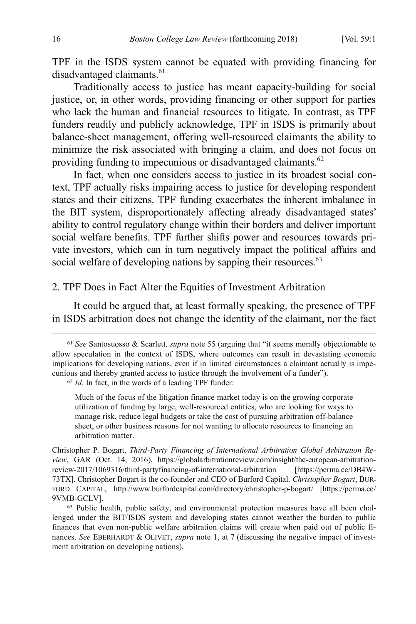TPF in the ISDS system cannot be equated with providing financing for disadvantaged claimants.<sup>61</sup>

Traditionally access to justice has meant capacity-building for social justice, or, in other words, providing financing or other support for parties who lack the human and financial resources to litigate. In contrast, as TPF funders readily and publicly acknowledge, TPF in ISDS is primarily about balance-sheet management, offering well-resourced claimants the ability to minimize the risk associated with bringing a claim, and does not focus on providing funding to impecunious or disadvantaged claimants.<sup>62</sup>

In fact, when one considers access to justice in its broadest social context, TPF actually risks impairing access to justice for developing respondent states and their citizens. TPF funding exacerbates the inherent imbalance in the BIT system, disproportionately affecting already disadvantaged states' ability to control regulatory change within their borders and deliver important social welfare benefits. TPF further shifts power and resources towards private investors, which can in turn negatively impact the political affairs and social welfare of developing nations by sapping their resources.<sup>63</sup>

# 2. TPF Does in Fact Alter the Equities of Investment Arbitration

It could be argued that, at least formally speaking, the presence of TPF in ISDS arbitration does not change the identity of the claimant, nor the fact

 <sup>61</sup> *See* Santosuosso & Scarlett*, supra* note 55 (arguing that "it seems morally objectionable to allow speculation in the context of ISDS, where outcomes can result in devastating economic implications for developing nations, even if in limited circumstances a claimant actually is impecunious and thereby granted access to justice through the involvement of a funder").

<sup>62</sup> *Id.* In fact, in the words of a leading TPF funder:

Much of the focus of the litigation finance market today is on the growing corporate utilization of funding by large, well-resourced entities, who are looking for ways to manage risk, reduce legal budgets or take the cost of pursuing arbitration off-balance sheet, or other business reasons for not wanting to allocate resources to financing an arbitration matter.

Christopher P. Bogart, *Third-Party Financing of International Arbitration Global Arbitration Review*, GAR (Oct. 14, 2016), https://globalarbitrationreview.com/insight/the-european-arbitrationreview-2017/1069316/third-partyfinancing-of-international-arbitration [https://perma.cc/DB4W-73TX]. Christopher Bogart is the co-founder and CEO of Burford Capital. *Christopher Bogart*, BUR-FORD CAPITAL, http://www.burfordcapital.com/directory/christopher-p-bogart/ [https://perma.cc/ 9VMB-GCLV].

<sup>63</sup> Public health, public safety, and environmental protection measures have all been challenged under the BIT/ISDS system and developing states cannot weather the burden to public finances that even non-public welfare arbitration claims will create when paid out of public finances. *See* EBERHARDT & OLIVET, *supra* note 1, at 7 (discussing the negative impact of investment arbitration on developing nations).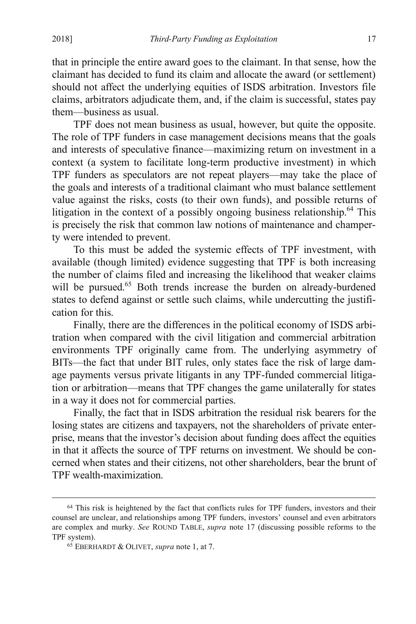that in principle the entire award goes to the claimant. In that sense, how the claimant has decided to fund its claim and allocate the award (or settlement) should not affect the underlying equities of ISDS arbitration. Investors file claims, arbitrators adjudicate them, and, if the claim is successful, states pay them—business as usual.

TPF does not mean business as usual, however, but quite the opposite. The role of TPF funders in case management decisions means that the goals and interests of speculative finance—maximizing return on investment in a context (a system to facilitate long-term productive investment) in which TPF funders as speculators are not repeat players—may take the place of the goals and interests of a traditional claimant who must balance settlement value against the risks, costs (to their own funds), and possible returns of litigation in the context of a possibly ongoing business relationship.<sup>64</sup> This is precisely the risk that common law notions of maintenance and champerty were intended to prevent.

To this must be added the systemic effects of TPF investment, with available (though limited) evidence suggesting that TPF is both increasing the number of claims filed and increasing the likelihood that weaker claims will be pursued.<sup>65</sup> Both trends increase the burden on already-burdened states to defend against or settle such claims, while undercutting the justification for this.

Finally, there are the differences in the political economy of ISDS arbitration when compared with the civil litigation and commercial arbitration environments TPF originally came from. The underlying asymmetry of BITs—the fact that under BIT rules, only states face the risk of large damage payments versus private litigants in any TPF-funded commercial litigation or arbitration—means that TPF changes the game unilaterally for states in a way it does not for commercial parties.

Finally, the fact that in ISDS arbitration the residual risk bearers for the losing states are citizens and taxpayers, not the shareholders of private enterprise, means that the investor's decision about funding does affect the equities in that it affects the source of TPF returns on investment. We should be concerned when states and their citizens, not other shareholders, bear the brunt of TPF wealth-maximization.

<sup>&</sup>lt;sup>64</sup> This risk is heightened by the fact that conflicts rules for TPF funders, investors and their counsel are unclear, and relationships among TPF funders, investors' counsel and even arbitrators are complex and murky. *See* ROUND TABLE, *supra* note 17 (discussing possible reforms to the TPF system).

<sup>65</sup> EBERHARDT & OLIVET, *supra* note 1, at 7.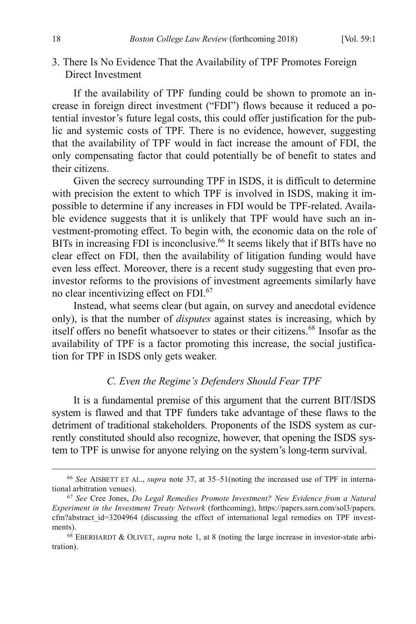# 3. There Is No Evidence That the Availability of TPF Promotes Foreign Direct Investment

If the availability of TPF funding could be shown to promote an increase in foreign direct investment ("FDI") flows because it reduced a potential investor's future legal costs, this could offer justification for the public and systemic costs of TPF. There is no evidence, however, suggesting that the availability of TPF would in fact increase the amount of FDI, the only compensating factor that could potentially be of benefit to states and their citizens.

Given the secrecy surrounding TPF in ISDS, it is difficult to determine with precision the extent to which TPF is involved in ISDS, making it impossible to determine if any increases in FDI would be TPF-related. Available evidence suggests that it is unlikely that TPF would have such an investment-promoting effect. To begin with, the economic data on the role of BITs in increasing FDI is inconclusive.<sup>66</sup> It seems likely that if BITs have no clear effect on FDI, then the availability of litigation funding would have even less effect. Moreover, there is a recent study suggesting that even proinvestor reforms to the provisions of investment agreements similarly have no clear incentivizing effect on FDI.<sup>67</sup>

Instead, what seems clear (but again, on survey and anecdotal evidence only), is that the number of *disputes* against states is increasing, which by itself offers no benefit whatsoever to states or their citizens.<sup>68</sup> Insofar as the availability of TPF is a factor promoting this increase, the social justification for TPF in ISDS only gets weaker.

#### *C. Even the Regime's Defenders Should Fear TPF*

It is a fundamental premise of this argument that the current BIT/ISDS system is flawed and that TPF funders take advantage of these flaws to the detriment of traditional stakeholders. Proponents of the ISDS system as currently constituted should also recognize, however, that opening the ISDS system to TPF is unwise for anyone relying on the system's long-term survival.

 <sup>66</sup> *See* AISBETT ET AL., *supra* note 37, at 35–51(noting the increased use of TPF in international arbitration venues).

<sup>67</sup> *See* Cree Jones, *Do Legal Remedies Promote Investment? New Evidence from a Natural Experiment in the Investment Treaty Network* (forthcoming), https://papers.ssrn.com/sol3/papers. cfm?abstract\_id=3204964 (discussing the effect of international legal remedies on TPF investments).

<sup>68</sup> EBERHARDT & OLIVET, *supra* note 1, at 8 (noting the large increase in investor-state arbitration).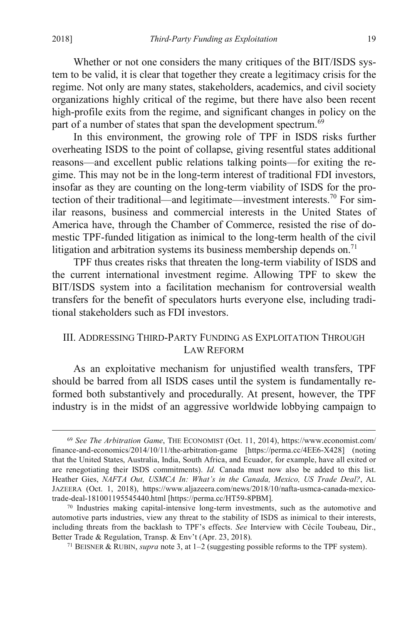Whether or not one considers the many critiques of the BIT/ISDS system to be valid, it is clear that together they create a legitimacy crisis for the regime. Not only are many states, stakeholders, academics, and civil society organizations highly critical of the regime, but there have also been recent high-profile exits from the regime, and significant changes in policy on the part of a number of states that span the development spectrum. $69$ 

In this environment, the growing role of TPF in ISDS risks further overheating ISDS to the point of collapse, giving resentful states additional reasons—and excellent public relations talking points—for exiting the regime. This may not be in the long-term interest of traditional FDI investors, insofar as they are counting on the long-term viability of ISDS for the protection of their traditional—and legitimate—investment interests.<sup>70</sup> For similar reasons, business and commercial interests in the United States of America have, through the Chamber of Commerce, resisted the rise of domestic TPF-funded litigation as inimical to the long-term health of the civil litigation and arbitration systems its business membership depends on.<sup>71</sup>

TPF thus creates risks that threaten the long-term viability of ISDS and the current international investment regime. Allowing TPF to skew the BIT/ISDS system into a facilitation mechanism for controversial wealth transfers for the benefit of speculators hurts everyone else, including traditional stakeholders such as FDI investors.

# III. ADDRESSING THIRD-PARTY FUNDING AS EXPLOITATION THROUGH LAW REFORM

As an exploitative mechanism for unjustified wealth transfers, TPF should be barred from all ISDS cases until the system is fundamentally reformed both substantively and procedurally. At present, however, the TPF industry is in the midst of an aggressive worldwide lobbying campaign to

 <sup>69</sup> *See The Arbitration Game*, THE ECONOMIST (Oct. 11, 2014), https://www.economist.com/ finance-and-economics/2014/10/11/the-arbitration-game [https://perma.cc/4EE6-X428] (noting that the United States, Australia, India, South Africa, and Ecuador, for example, have all exited or are renegotiating their ISDS commitments). *Id.* Canada must now also be added to this list. Heather Gies, *NAFTA Out, USMCA In: What's in the Canada, Mexico, US Trade Deal?*, AL JAZEERA (Oct. 1, 2018), https://www.aljazeera.com/news/2018/10/nafta-usmca-canada-mexicotrade-deal-181001195545440.html [https://perma.cc/HT59-8PBM].

<sup>70</sup> Industries making capital-intensive long-term investments, such as the automotive and automotive parts industries, view any threat to the stability of ISDS as inimical to their interests, including threats from the backlash to TPF's effects. *See* Interview with Cécile Toubeau, Dir., Better Trade & Regulation, Transp. & Env't (Apr. 23, 2018).

<sup>71</sup> BEISNER & RUBIN, *supra* note 3, at 1–2 (suggesting possible reforms to the TPF system).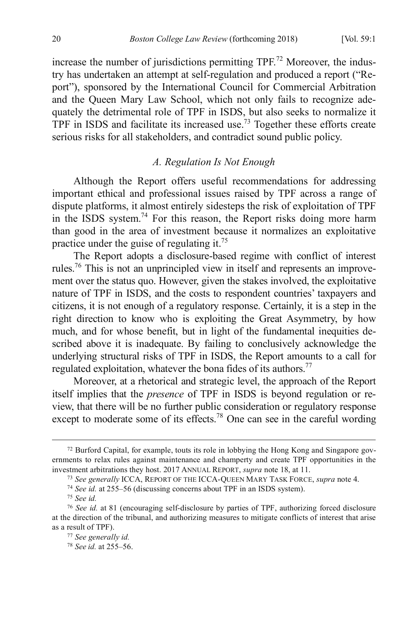increase the number of jurisdictions permitting  $TPF<sup>72</sup>$  Moreover, the industry has undertaken an attempt at self-regulation and produced a report ("Report"), sponsored by the International Council for Commercial Arbitration and the Queen Mary Law School, which not only fails to recognize adequately the detrimental role of TPF in ISDS, but also seeks to normalize it TPF in ISDS and facilitate its increased use.<sup>73</sup> Together these efforts create serious risks for all stakeholders, and contradict sound public policy.

# *A. Regulation Is Not Enough*

Although the Report offers useful recommendations for addressing important ethical and professional issues raised by TPF across a range of dispute platforms, it almost entirely sidesteps the risk of exploitation of TPF in the ISDS system.<sup>74</sup> For this reason, the Report risks doing more harm than good in the area of investment because it normalizes an exploitative practice under the guise of regulating it.75

The Report adopts a disclosure-based regime with conflict of interest rules.76 This is not an unprincipled view in itself and represents an improvement over the status quo. However, given the stakes involved, the exploitative nature of TPF in ISDS, and the costs to respondent countries' taxpayers and citizens, it is not enough of a regulatory response. Certainly, it is a step in the right direction to know who is exploiting the Great Asymmetry, by how much, and for whose benefit, but in light of the fundamental inequities described above it is inadequate. By failing to conclusively acknowledge the underlying structural risks of TPF in ISDS, the Report amounts to a call for regulated exploitation, whatever the bona fides of its authors.<sup>77</sup>

Moreover, at a rhetorical and strategic level, the approach of the Report itself implies that the *presence* of TPF in ISDS is beyond regulation or review, that there will be no further public consideration or regulatory response except to moderate some of its effects.<sup>78</sup> One can see in the careful wording

 <sup>72</sup> Burford Capital, for example, touts its role in lobbying the Hong Kong and Singapore governments to relax rules against maintenance and champerty and create TPF opportunities in the investment arbitrations they host. 2017 ANNUAL REPORT, *supra* note 18, at 11.

<sup>73</sup> *See generally* ICCA, REPORT OF THE ICCA-QUEEN MARY TASK FORCE, *supra* note 4.

<sup>74</sup> *See id.* at 255–56 (discussing concerns about TPF in an ISDS system).

<sup>75</sup> *See id.*

<sup>76</sup> *See id.* at 81 (encouraging self-disclosure by parties of TPF, authorizing forced disclosure at the direction of the tribunal, and authorizing measures to mitigate conflicts of interest that arise as a result of TPF).

<sup>77</sup> *See generally id.*

<sup>78</sup> *See id.* at 255–56.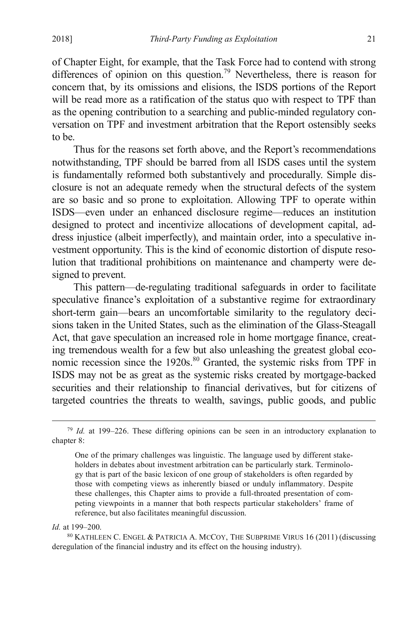of Chapter Eight, for example, that the Task Force had to contend with strong differences of opinion on this question.<sup>79</sup> Nevertheless, there is reason for concern that, by its omissions and elisions, the ISDS portions of the Report will be read more as a ratification of the status quo with respect to TPF than as the opening contribution to a searching and public-minded regulatory conversation on TPF and investment arbitration that the Report ostensibly seeks to be.

Thus for the reasons set forth above, and the Report's recommendations notwithstanding, TPF should be barred from all ISDS cases until the system is fundamentally reformed both substantively and procedurally. Simple disclosure is not an adequate remedy when the structural defects of the system are so basic and so prone to exploitation. Allowing TPF to operate within ISDS—even under an enhanced disclosure regime—reduces an institution designed to protect and incentivize allocations of development capital, address injustice (albeit imperfectly), and maintain order, into a speculative investment opportunity. This is the kind of economic distortion of dispute resolution that traditional prohibitions on maintenance and champerty were designed to prevent.

This pattern—de-regulating traditional safeguards in order to facilitate speculative finance's exploitation of a substantive regime for extraordinary short-term gain—bears an uncomfortable similarity to the regulatory decisions taken in the United States, such as the elimination of the Glass-Steagall Act, that gave speculation an increased role in home mortgage finance, creating tremendous wealth for a few but also unleashing the greatest global economic recession since the 1920s.<sup>80</sup> Granted, the systemic risks from TPF in ISDS may not be as great as the systemic risks created by mortgage-backed securities and their relationship to financial derivatives, but for citizens of targeted countries the threats to wealth, savings, public goods, and public

#### *Id.* at 199–200.

<sup>80</sup> KATHLEEN C. ENGEL & PATRICIA A. MCCOY, THE SUBPRIME VIRUS 16 (2011) (discussing deregulation of the financial industry and its effect on the housing industry).

 <sup>79</sup> *Id.* at 199–226. These differing opinions can be seen in an introductory explanation to chapter 8:

One of the primary challenges was linguistic. The language used by different stakeholders in debates about investment arbitration can be particularly stark. Terminology that is part of the basic lexicon of one group of stakeholders is often regarded by those with competing views as inherently biased or unduly inflammatory. Despite these challenges, this Chapter aims to provide a full-throated presentation of competing viewpoints in a manner that both respects particular stakeholders' frame of reference, but also facilitates meaningful discussion.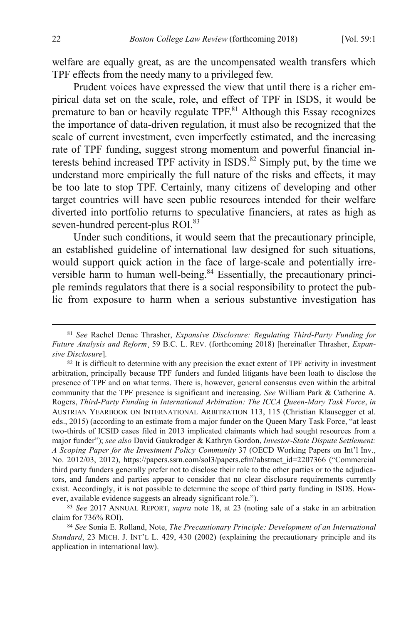welfare are equally great, as are the uncompensated wealth transfers which TPF effects from the needy many to a privileged few.

Prudent voices have expressed the view that until there is a richer empirical data set on the scale, role, and effect of TPF in ISDS, it would be premature to ban or heavily regulate  $TPF<sub>81</sub>$  Although this Essay recognizes the importance of data-driven regulation, it must also be recognized that the scale of current investment, even imperfectly estimated, and the increasing rate of TPF funding, suggest strong momentum and powerful financial interests behind increased TPF activity in  $ISDS$ .<sup>82</sup> Simply put, by the time we understand more empirically the full nature of the risks and effects, it may be too late to stop TPF. Certainly, many citizens of developing and other target countries will have seen public resources intended for their welfare diverted into portfolio returns to speculative financiers, at rates as high as seven-hundred percent-plus ROI.<sup>83</sup>

Under such conditions, it would seem that the precautionary principle, an established guideline of international law designed for such situations, would support quick action in the face of large-scale and potentially irreversible harm to human well-being.<sup>84</sup> Essentially, the precautionary principle reminds regulators that there is a social responsibility to protect the public from exposure to harm when a serious substantive investigation has

 <sup>81</sup> *See* Rachel Denae Thrasher, *Expansive Disclosure: Regulating Third-Party Funding for Future Analysis and Reform*¸ 59 B.C. L. REV. (forthcoming 2018) [hereinafter Thrasher, *Expansive Disclosure*].

<sup>&</sup>lt;sup>82</sup> It is difficult to determine with any precision the exact extent of TPF activity in investment arbitration, principally because TPF funders and funded litigants have been loath to disclose the presence of TPF and on what terms. There is, however, general consensus even within the arbitral community that the TPF presence is significant and increasing. *See* William Park & Catherine A. Rogers, *Third-Party Funding in International Arbitration: The ICCA Queen-Mary Task Force*, *in*  AUSTRIAN YEARBOOK ON INTERNATIONAL ARBITRATION 113, 115 (Christian Klausegger et al. eds., 2015) (according to an estimate from a major funder on the Queen Mary Task Force, "at least two-thirds of ICSID cases filed in 2013 implicated claimants which had sought resources from a major funder"); *see also* David Gaukrodger & Kathryn Gordon, *Investor-State Dispute Settlement: A Scoping Paper for the Investment Policy Community* 37 (OECD Working Papers on Int'l Inv., No. 2012/03, 2012), https://papers.ssrn.com/sol3/papers.cfm?abstract\_id=2207366 ("Commercial third party funders generally prefer not to disclose their role to the other parties or to the adjudicators, and funders and parties appear to consider that no clear disclosure requirements currently exist. Accordingly, it is not possible to determine the scope of third party funding in ISDS. However, available evidence suggests an already significant role.").

<sup>83</sup> *See* 2017 ANNUAL REPORT, *supra* note 18, at 23 (noting sale of a stake in an arbitration claim for 736% ROI).

<sup>84</sup> *See* Sonia E. Rolland, Note, *The Precautionary Principle: Development of an International Standard*, 23 MICH. J. INT'L L. 429, 430 (2002) (explaining the precautionary principle and its application in international law).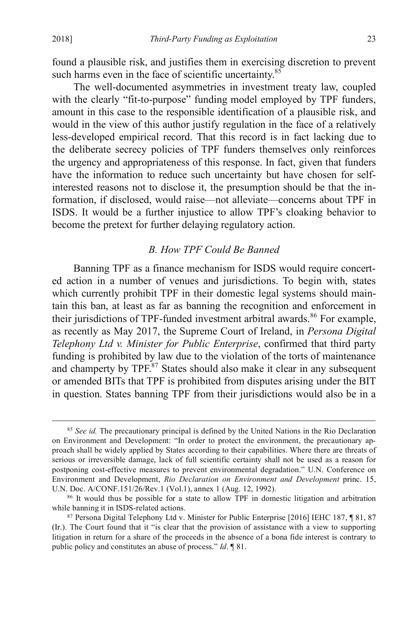found a plausible risk, and justifies them in exercising discretion to prevent such harms even in the face of scientific uncertainty.<sup>85</sup>

The well-documented asymmetries in investment treaty law, coupled with the clearly "fit-to-purpose" funding model employed by TPF funders, amount in this case to the responsible identification of a plausible risk, and would in the view of this author justify regulation in the face of a relatively less-developed empirical record. That this record is in fact lacking due to the deliberate secrecy policies of TPF funders themselves only reinforces the urgency and appropriateness of this response. In fact, given that funders have the information to reduce such uncertainty but have chosen for selfinterested reasons not to disclose it, the presumption should be that the information, if disclosed, would raise—not alleviate—concerns about TPF in ISDS. It would be a further injustice to allow TPF's cloaking behavior to become the pretext for further delaying regulatory action.

## *B. How TPF Could Be Banned*

Banning TPF as a finance mechanism for ISDS would require concerted action in a number of venues and jurisdictions. To begin with, states which currently prohibit TPF in their domestic legal systems should maintain this ban, at least as far as banning the recognition and enforcement in their jurisdictions of TPF-funded investment arbitral awards.<sup>86</sup> For example, as recently as May 2017, the Supreme Court of Ireland, in *Persona Digital Telephony Ltd v. Minister for Public Enterprise*, confirmed that third party funding is prohibited by law due to the violation of the torts of maintenance and champerty by TPF.<sup>87</sup> States should also make it clear in any subsequent or amended BITs that TPF is prohibited from disputes arising under the BIT in question. States banning TPF from their jurisdictions would also be in a

<sup>&</sup>lt;sup>85</sup> *See id.* The precautionary principal is defined by the United Nations in the Rio Declaration on Environment and Development: "In order to protect the environment, the precautionary approach shall be widely applied by States according to their capabilities. Where there are threats of serious or irreversible damage, lack of full scientific certainty shall not be used as a reason for postponing cost-effective measures to prevent environmental degradation." U.N. Conference on Environment and Development, *Rio Declaration on Environment and Development* princ. 15, U.N. Doc. A/CONF.151/26/Rev.1 (Vol.1), annex 1 (Aug. 12, 1992).

<sup>86</sup> It would thus be possible for a state to allow TPF in domestic litigation and arbitration while banning it in ISDS-related actions.

<sup>87</sup> Persona Digital Telephony Ltd v. Minister for Public Enterprise [2016] IEHC 187, ¶ 81, 87 (Ir.). The Court found that it "is clear that the provision of assistance with a view to supporting litigation in return for a share of the proceeds in the absence of a bona fide interest is contrary to public policy and constitutes an abuse of process." *Id*. ¶ 81.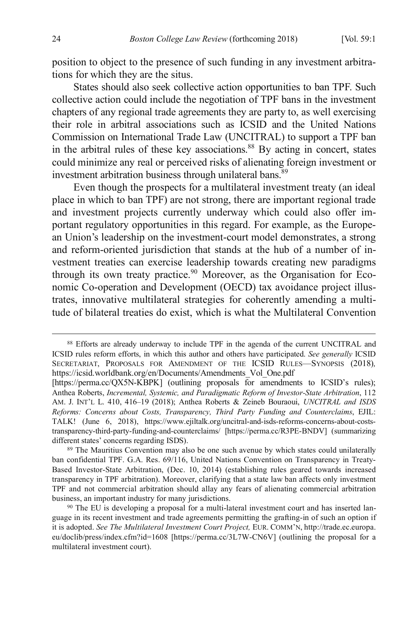position to object to the presence of such funding in any investment arbitrations for which they are the situs.

States should also seek collective action opportunities to ban TPF. Such collective action could include the negotiation of TPF bans in the investment chapters of any regional trade agreements they are party to, as well exercising their role in arbitral associations such as ICSID and the United Nations Commission on International Trade Law (UNCITRAL) to support a TPF ban in the arbitral rules of these key associations. $88$  By acting in concert, states could minimize any real or perceived risks of alienating foreign investment or investment arbitration business through unilateral bans.<sup>89</sup>

Even though the prospects for a multilateral investment treaty (an ideal place in which to ban TPF) are not strong, there are important regional trade and investment projects currently underway which could also offer important regulatory opportunities in this regard. For example, as the European Union's leadership on the investment-court model demonstrates, a strong and reform-oriented jurisdiction that stands at the hub of a number of investment treaties can exercise leadership towards creating new paradigms through its own treaty practice.<sup>90</sup> Moreover, as the Organisation for Economic Co-operation and Development (OECD) tax avoidance project illustrates, innovative multilateral strategies for coherently amending a multitude of bilateral treaties do exist, which is what the Multilateral Convention

 <sup>88</sup> Efforts are already underway to include TPF in the agenda of the current UNCITRAL and ICSID rules reform efforts, in which this author and others have participated. *See generally* ICSID SECRETARIAT, PROPOSALS FOR AMENDMENT OF THE ICSID RULES—SYNOPSIS (2018)*,*  https://icsid.worldbank.org/en/Documents/Amendments\_Vol\_One.pdf

<sup>[</sup>https://perma.cc/QX5N-KBPK] (outlining proposals for amendments to ICSID's rules); Anthea Roberts, *Incremental, Systemic, and Paradigmatic Reform of Investor-State Arbitration*, 112 AM. J. INT'L L. 410, 416–19 (2018); Anthea Roberts & Zeineb Bouraoui, *UNCITRAL and ISDS Reforms: Concerns about Costs, Transparency, Third Party Funding and Counterclaims*, EJIL: TALK! (June 6, 2018), https://www.ejiltalk.org/uncitral-and-isds-reforms-concerns-about-coststransparency-third-party-funding-and-counterclaims/ [https://perma.cc/R3PE-BNDV] (summarizing different states' concerns regarding ISDS).

<sup>&</sup>lt;sup>89</sup> The Mauritius Convention may also be one such avenue by which states could unilaterally ban confidential TPF. G.A. Res. 69/116, United Nations Convention on Transparency in Treaty-Based Investor-State Arbitration, (Dec. 10, 2014) (establishing rules geared towards increased transparency in TPF arbitration). Moreover, clarifying that a state law ban affects only investment TPF and not commercial arbitration should allay any fears of alienating commercial arbitration business, an important industry for many jurisdictions.

<sup>90</sup> The EU is developing a proposal for a multi-lateral investment court and has inserted language in its recent investment and trade agreements permitting the grafting-in of such an option if it is adopted. *See The Multilateral Investment Court Project,* EUR. COMM'N, http://trade.ec.europa. eu/doclib/press/index.cfm?id=1608 [https://perma.cc/3L7W-CN6V] (outlining the proposal for a multilateral investment court).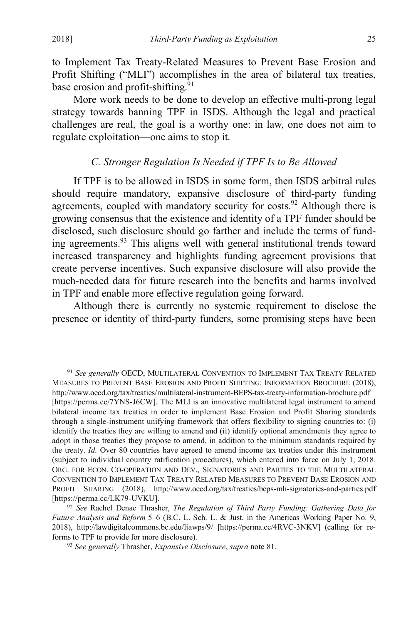to Implement Tax Treaty-Related Measures to Prevent Base Erosion and Profit Shifting ("MLI") accomplishes in the area of bilateral tax treaties, base erosion and profit-shifting.<sup>91</sup>

More work needs to be done to develop an effective multi-prong legal strategy towards banning TPF in ISDS. Although the legal and practical challenges are real, the goal is a worthy one: in law, one does not aim to regulate exploitation—one aims to stop it.

## *C. Stronger Regulation Is Needed if TPF Is to Be Allowed*

If TPF is to be allowed in ISDS in some form, then ISDS arbitral rules should require mandatory, expansive disclosure of third-party funding agreements, coupled with mandatory security for costs.<sup>92</sup> Although there is growing consensus that the existence and identity of a TPF funder should be disclosed, such disclosure should go farther and include the terms of funding agreements.<sup>93</sup> This aligns well with general institutional trends toward increased transparency and highlights funding agreement provisions that create perverse incentives. Such expansive disclosure will also provide the much-needed data for future research into the benefits and harms involved in TPF and enable more effective regulation going forward.

Although there is currently no systemic requirement to disclose the presence or identity of third-party funders, some promising steps have been

 <sup>91</sup> *See generally* OECD, MULTILATERAL CONVENTION TO IMPLEMENT TAX TREATY RELATED MEASURES TO PREVENT BASE EROSION AND PROFIT SHIFTING: INFORMATION BROCHURE (2018), http://www.oecd.org/tax/treaties/multilateral-instrument-BEPS-tax-treaty-information-brochure.pdf [https://perma.cc/7YNS-J6CW]. The MLI is an innovative multilateral legal instrument to amend bilateral income tax treaties in order to implement Base Erosion and Profit Sharing standards through a single-instrument unifying framework that offers flexibility to signing countries to: (i) identify the treaties they are willing to amend and (ii) identify optional amendments they agree to adopt in those treaties they propose to amend, in addition to the minimum standards required by the treaty. *Id.* Over 80 countries have agreed to amend income tax treaties under this instrument (subject to individual country ratification procedures), which entered into force on July 1, 2018. ORG. FOR ECON. CO-OPERATION AND DEV., SIGNATORIES AND PARTIES TO THE MULTILATERAL CONVENTION TO IMPLEMENT TAX TREATY RELATED MEASURES TO PREVENT BASE EROSION AND PROFIT SHARING (2018), http://www.oecd.org/tax/treaties/beps-mli-signatories-and-parties.pdf [https://perma.cc/LK79-UVKU].

<sup>92</sup> *See* Rachel Denae Thrasher, *The Regulation of Third Party Funding: Gathering Data for Future Analysis and Reform* 5–6 (B.C. L. Sch. L. & Just. in the Americas Working Paper No. 9, 2018), http://lawdigitalcommons.bc.edu/ljawps/9/ [https://perma.cc/4RVC-3NKV] (calling for reforms to TPF to provide for more disclosure).

<sup>93</sup> *See generally* Thrasher, *Expansive Disclosure*, *supra* note 81.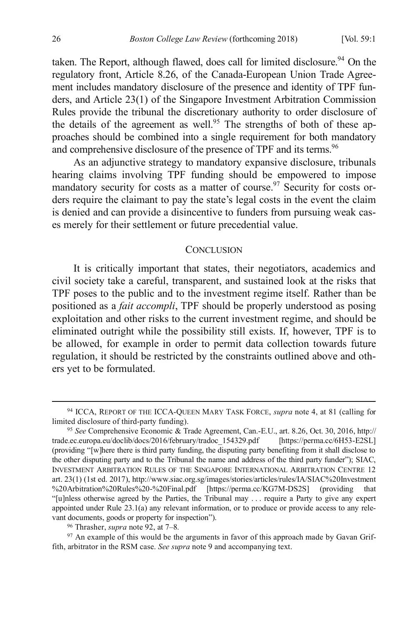taken. The Report, although flawed, does call for limited disclosure.<sup>94</sup> On the regulatory front, Article 8.26, of the Canada-European Union Trade Agreement includes mandatory disclosure of the presence and identity of TPF funders, and Article 23(1) of the Singapore Investment Arbitration Commission Rules provide the tribunal the discretionary authority to order disclosure of the details of the agreement as well.<sup>95</sup> The strengths of both of these approaches should be combined into a single requirement for both mandatory and comprehensive disclosure of the presence of TPF and its terms.<sup>96</sup>

As an adjunctive strategy to mandatory expansive disclosure, tribunals hearing claims involving TPF funding should be empowered to impose mandatory security for costs as a matter of course.<sup>97</sup> Security for costs orders require the claimant to pay the state's legal costs in the event the claim is denied and can provide a disincentive to funders from pursuing weak cases merely for their settlement or future precedential value.

#### **CONCLUSION**

It is critically important that states, their negotiators, academics and civil society take a careful, transparent, and sustained look at the risks that TPF poses to the public and to the investment regime itself. Rather than be positioned as a *fait accompli*, TPF should be properly understood as posing exploitation and other risks to the current investment regime, and should be eliminated outright while the possibility still exists. If, however, TPF is to be allowed, for example in order to permit data collection towards future regulation, it should be restricted by the constraints outlined above and others yet to be formulated.

 <sup>94</sup> ICCA, REPORT OF THE ICCA-QUEEN MARY TASK FORCE, *supra* note 4, at 81 (calling for limited disclosure of third-party funding).

<sup>95</sup> *See* Comprehensive Economic & Trade Agreement, Can.-E.U., art. 8.26, Oct. 30, 2016, http:// trade.ec.europa.eu/doclib/docs/2016/february/tradoc\_154329.pdf [https://perma.cc/6H53-E2SL] (providing "[w]here there is third party funding, the disputing party benefiting from it shall disclose to the other disputing party and to the Tribunal the name and address of the third party funder"); SIAC, INVESTMENT ARBITRATION RULES OF THE SINGAPORE INTERNATIONAL ARBITRATION CENTRE 12 art. 23(1) (1st ed. 2017), http://www.siac.org.sg/images/stories/articles/rules/IA/SIAC%20Investment %20Arbitration%20Rules%20-%20Final.pdf [https://perma.cc/KG7M-DS2S] (providing "[u]nless otherwise agreed by the Parties, the Tribunal may . . . require a Party to give any expert appointed under Rule 23.1(a) any relevant information, or to produce or provide access to any relevant documents, goods or property for inspection").

<sup>96</sup> Thrasher, *supra* note 92, at 7–8*.*

<sup>97</sup> An example of this would be the arguments in favor of this approach made by Gavan Griffith, arbitrator in the RSM case. *See supra* note 9 and accompanying text.